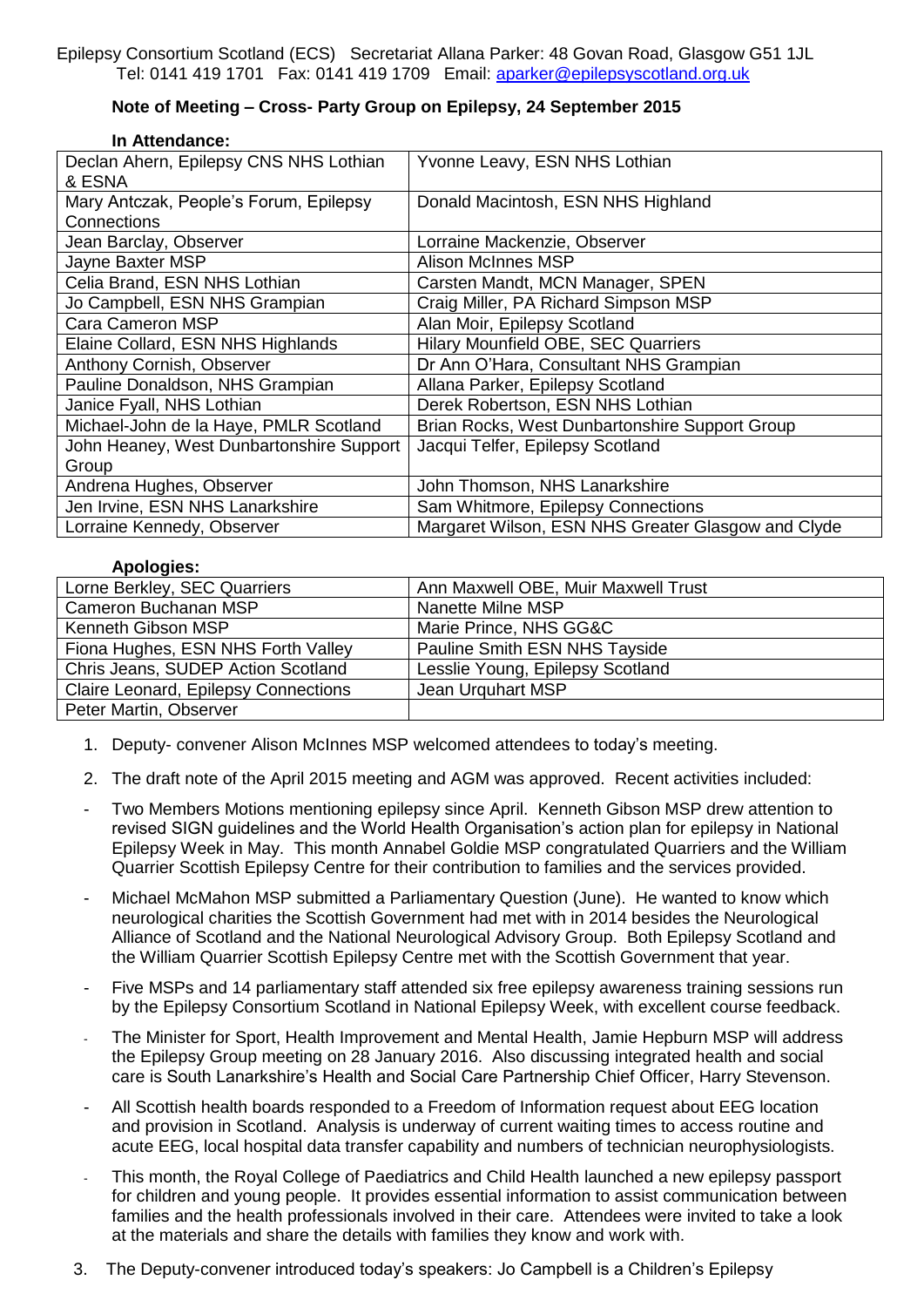## **Note of Meeting – Cross- Party Group on Epilepsy, 24 September 2015**

## **In Attendance:**

| Declan Ahern, Epilepsy CNS NHS Lothian<br>& ESNA | Yvonne Leavy, ESN NHS Lothian                      |
|--------------------------------------------------|----------------------------------------------------|
| Mary Antczak, People's Forum, Epilepsy           | Donald Macintosh, ESN NHS Highland                 |
| Connections                                      |                                                    |
| Jean Barclay, Observer                           | Lorraine Mackenzie, Observer                       |
| Jayne Baxter MSP                                 | Alison McInnes MSP                                 |
| Celia Brand, ESN NHS Lothian                     | Carsten Mandt, MCN Manager, SPEN                   |
| Jo Campbell, ESN NHS Grampian                    | Craig Miller, PA Richard Simpson MSP               |
| Cara Cameron MSP                                 | Alan Moir, Epilepsy Scotland                       |
| Elaine Collard, ESN NHS Highlands                | <b>Hilary Mounfield OBE, SEC Quarriers</b>         |
| Anthony Cornish, Observer                        | Dr Ann O'Hara, Consultant NHS Grampian             |
| Pauline Donaldson, NHS Grampian                  | Allana Parker, Epilepsy Scotland                   |
| Janice Fyall, NHS Lothian                        | Derek Robertson, ESN NHS Lothian                   |
| Michael-John de la Haye, PMLR Scotland           | Brian Rocks, West Dunbartonshire Support Group     |
| John Heaney, West Dunbartonshire Support         | Jacqui Telfer, Epilepsy Scotland                   |
| Group                                            |                                                    |
| Andrena Hughes, Observer                         | John Thomson, NHS Lanarkshire                      |
| Jen Irvine, ESN NHS Lanarkshire                  | Sam Whitmore, Epilepsy Connections                 |
| Lorraine Kennedy, Observer                       | Margaret Wilson, ESN NHS Greater Glasgow and Clyde |

## **Apologies:**

| Lorne Berkley, SEC Quarriers         | Ann Maxwell OBE, Muir Maxwell Trust |
|--------------------------------------|-------------------------------------|
| Cameron Buchanan MSP                 | Nanette Milne MSP                   |
| Kenneth Gibson MSP                   | Marie Prince, NHS GG&C              |
| Fiona Hughes, ESN NHS Forth Valley   | Pauline Smith ESN NHS Tayside       |
| Chris Jeans, SUDEP Action Scotland   | Lesslie Young, Epilepsy Scotland    |
| Claire Leonard, Epilepsy Connections | Jean Urguhart MSP                   |
| Peter Martin, Observer               |                                     |

- 1. Deputy- convener Alison McInnes MSP welcomed attendees to today's meeting.
- 2. The draft note of the April 2015 meeting and AGM was approved. Recent activities included:
- Two Members Motions mentioning epilepsy since April. Kenneth Gibson MSP drew attention to revised SIGN guidelines and the World Health Organisation's action plan for epilepsy in National Epilepsy Week in May. This month Annabel Goldie MSP congratulated Quarriers and the William Quarrier Scottish Epilepsy Centre for their contribution to families and the services provided.
- Michael McMahon MSP submitted a Parliamentary Question (June). He wanted to know which neurological charities the Scottish Government had met with in 2014 besides the Neurological Alliance of Scotland and the National Neurological Advisory Group. Both Epilepsy Scotland and the William Quarrier Scottish Epilepsy Centre met with the Scottish Government that year.
- Five MSPs and 14 parliamentary staff attended six free epilepsy awareness training sessions run by the Epilepsy Consortium Scotland in National Epilepsy Week, with excellent course feedback.
- The Minister for Sport, Health Improvement and Mental Health, Jamie Hepburn MSP will address the Epilepsy Group meeting on 28 January 2016. Also discussing integrated health and social care is South Lanarkshire's Health and Social Care Partnership Chief Officer, Harry Stevenson.
- All Scottish health boards responded to a Freedom of Information request about EEG location and provision in Scotland. Analysis is underway of current waiting times to access routine and acute EEG, local hospital data transfer capability and numbers of technician neurophysiologists.
- This month, the Royal College of Paediatrics and Child Health launched a new epilepsy passport for children and young people. It provides essential information to assist communication between families and the health professionals involved in their care. Attendees were invited to take a look at the materials and share the details with families they know and work with.
- 3. The Deputy-convener introduced today's speakers: Jo Campbell is a Children's Epilepsy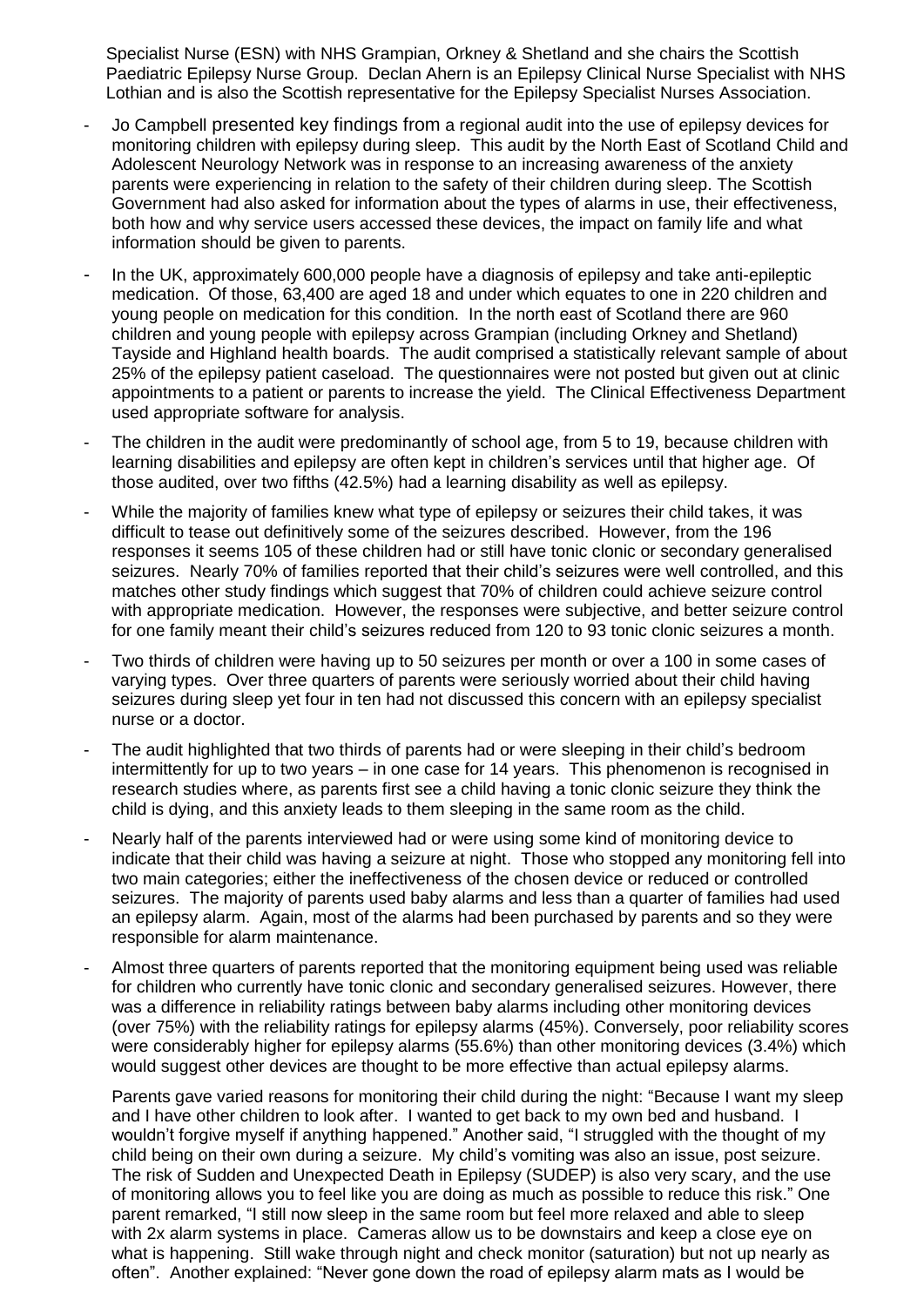Specialist Nurse (ESN) with NHS Grampian, Orkney & Shetland and she chairs the Scottish Paediatric Epilepsy Nurse Group. Declan Ahern is an Epilepsy Clinical Nurse Specialist with NHS Lothian and is also the Scottish representative for the Epilepsy Specialist Nurses Association.

- Jo Campbell presented key findings from a regional audit into the use of epilepsy devices for monitoring children with epilepsy during sleep. This audit by the North East of Scotland Child and Adolescent Neurology Network was in response to an increasing awareness of the anxiety parents were experiencing in relation to the safety of their children during sleep. The Scottish Government had also asked for information about the types of alarms in use, their effectiveness, both how and why service users accessed these devices, the impact on family life and what information should be given to parents.
- In the UK, approximately 600,000 people have a diagnosis of epilepsy and take anti-epileptic medication. Of those, 63,400 are aged 18 and under which equates to one in 220 children and young people on medication for this condition. In the north east of Scotland there are 960 children and young people with epilepsy across Grampian (including Orkney and Shetland) Tayside and Highland health boards. The audit comprised a statistically relevant sample of about 25% of the epilepsy patient caseload. The questionnaires were not posted but given out at clinic appointments to a patient or parents to increase the yield. The Clinical Effectiveness Department used appropriate software for analysis.
- The children in the audit were predominantly of school age, from 5 to 19, because children with learning disabilities and epilepsy are often kept in children's services until that higher age. Of those audited, over two fifths (42.5%) had a learning disability as well as epilepsy.
- While the majority of families knew what type of epilepsy or seizures their child takes, it was difficult to tease out definitively some of the seizures described. However, from the 196 responses it seems 105 of these children had or still have tonic clonic or secondary generalised seizures. Nearly 70% of families reported that their child's seizures were well controlled, and this matches other study findings which suggest that 70% of children could achieve seizure control with appropriate medication. However, the responses were subjective, and better seizure control for one family meant their child's seizures reduced from 120 to 93 tonic clonic seizures a month.
- Two thirds of children were having up to 50 seizures per month or over a 100 in some cases of varying types. Over three quarters of parents were seriously worried about their child having seizures during sleep yet four in ten had not discussed this concern with an epilepsy specialist nurse or a doctor.
- The audit highlighted that two thirds of parents had or were sleeping in their child's bedroom intermittently for up to two years – in one case for 14 years. This phenomenon is recognised in research studies where, as parents first see a child having a tonic clonic seizure they think the child is dying, and this anxiety leads to them sleeping in the same room as the child.
- Nearly half of the parents interviewed had or were using some kind of monitoring device to indicate that their child was having a seizure at night. Those who stopped any monitoring fell into two main categories; either the ineffectiveness of the chosen device or reduced or controlled seizures. The majority of parents used baby alarms and less than a quarter of families had used an epilepsy alarm. Again, most of the alarms had been purchased by parents and so they were responsible for alarm maintenance.
- Almost three quarters of parents reported that the monitoring equipment being used was reliable for children who currently have tonic clonic and secondary generalised seizures. However, there was a difference in reliability ratings between baby alarms including other monitoring devices (over 75%) with the reliability ratings for epilepsy alarms (45%). Conversely, poor reliability scores were considerably higher for epilepsy alarms (55.6%) than other monitoring devices (3.4%) which would suggest other devices are thought to be more effective than actual epilepsy alarms.

Parents gave varied reasons for monitoring their child during the night: "Because I want my sleep and I have other children to look after. I wanted to get back to my own bed and husband. I wouldn't forgive myself if anything happened." Another said, "I struggled with the thought of my child being on their own during a seizure. My child's vomiting was also an issue, post seizure. The risk of Sudden and Unexpected Death in Epilepsy (SUDEP) is also very scary, and the use of monitoring allows you to feel like you are doing as much as possible to reduce this risk." One parent remarked, "I still now sleep in the same room but feel more relaxed and able to sleep with 2x alarm systems in place. Cameras allow us to be downstairs and keep a close eye on what is happening. Still wake through night and check monitor (saturation) but not up nearly as often". Another explained: "Never gone down the road of epilepsy alarm mats as I would be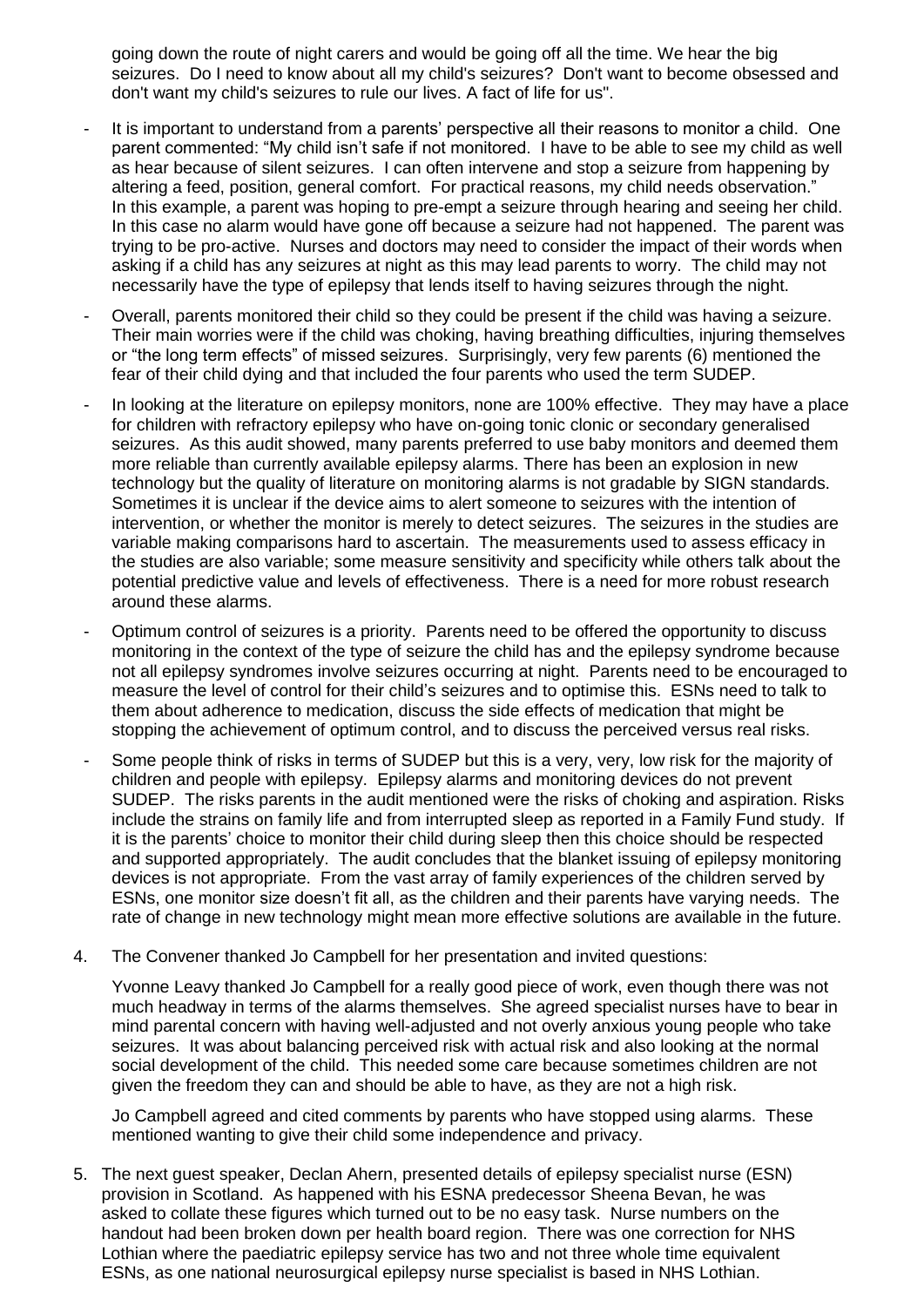going down the route of night carers and would be going off all the time. We hear the big seizures. Do I need to know about all my child's seizures? Don't want to become obsessed and don't want my child's seizures to rule our lives. A fact of life for us".

- It is important to understand from a parents' perspective all their reasons to monitor a child. One parent commented: "My child isn't safe if not monitored. I have to be able to see my child as well as hear because of silent seizures. I can often intervene and stop a seizure from happening by altering a feed, position, general comfort. For practical reasons, my child needs observation." In this example, a parent was hoping to pre-empt a seizure through hearing and seeing her child. In this case no alarm would have gone off because a seizure had not happened. The parent was trying to be pro-active. Nurses and doctors may need to consider the impact of their words when asking if a child has any seizures at night as this may lead parents to worry. The child may not necessarily have the type of epilepsy that lends itself to having seizures through the night.
- Overall, parents monitored their child so they could be present if the child was having a seizure. Their main worries were if the child was choking, having breathing difficulties, injuring themselves or "the long term effects" of missed seizures. Surprisingly, very few parents (6) mentioned the fear of their child dying and that included the four parents who used the term SUDEP.
- In looking at the literature on epilepsy monitors, none are 100% effective. They may have a place for children with refractory epilepsy who have on-going tonic clonic or secondary generalised seizures. As this audit showed, many parents preferred to use baby monitors and deemed them more reliable than currently available epilepsy alarms. There has been an explosion in new technology but the quality of literature on monitoring alarms is not gradable by SIGN standards. Sometimes it is unclear if the device aims to alert someone to seizures with the intention of intervention, or whether the monitor is merely to detect seizures. The seizures in the studies are variable making comparisons hard to ascertain. The measurements used to assess efficacy in the studies are also variable; some measure sensitivity and specificity while others talk about the potential predictive value and levels of effectiveness. There is a need for more robust research around these alarms.
- Optimum control of seizures is a priority. Parents need to be offered the opportunity to discuss monitoring in the context of the type of seizure the child has and the epilepsy syndrome because not all epilepsy syndromes involve seizures occurring at night. Parents need to be encouraged to measure the level of control for their child's seizures and to optimise this. ESNs need to talk to them about adherence to medication, discuss the side effects of medication that might be stopping the achievement of optimum control, and to discuss the perceived versus real risks.
- Some people think of risks in terms of SUDEP but this is a very, very, low risk for the majority of children and people with epilepsy. Epilepsy alarms and monitoring devices do not prevent SUDEP. The risks parents in the audit mentioned were the risks of choking and aspiration. Risks include the strains on family life and from interrupted sleep as reported in a Family Fund study. If it is the parents' choice to monitor their child during sleep then this choice should be respected and supported appropriately. The audit concludes that the blanket issuing of epilepsy monitoring devices is not appropriate. From the vast array of family experiences of the children served by ESNs, one monitor size doesn't fit all, as the children and their parents have varying needs. The rate of change in new technology might mean more effective solutions are available in the future.
- 4. The Convener thanked Jo Campbell for her presentation and invited questions:

Yvonne Leavy thanked Jo Campbell for a really good piece of work, even though there was not much headway in terms of the alarms themselves. She agreed specialist nurses have to bear in mind parental concern with having well-adjusted and not overly anxious young people who take seizures. It was about balancing perceived risk with actual risk and also looking at the normal social development of the child. This needed some care because sometimes children are not given the freedom they can and should be able to have, as they are not a high risk.

Jo Campbell agreed and cited comments by parents who have stopped using alarms. These mentioned wanting to give their child some independence and privacy.

5. The next guest speaker, Declan Ahern, presented details of epilepsy specialist nurse (ESN) provision in Scotland. As happened with his ESNA predecessor Sheena Bevan, he was asked to collate these figures which turned out to be no easy task. Nurse numbers on the handout had been broken down per health board region. There was one correction for NHS Lothian where the paediatric epilepsy service has two and not three whole time equivalent ESNs, as one national neurosurgical epilepsy nurse specialist is based in NHS Lothian.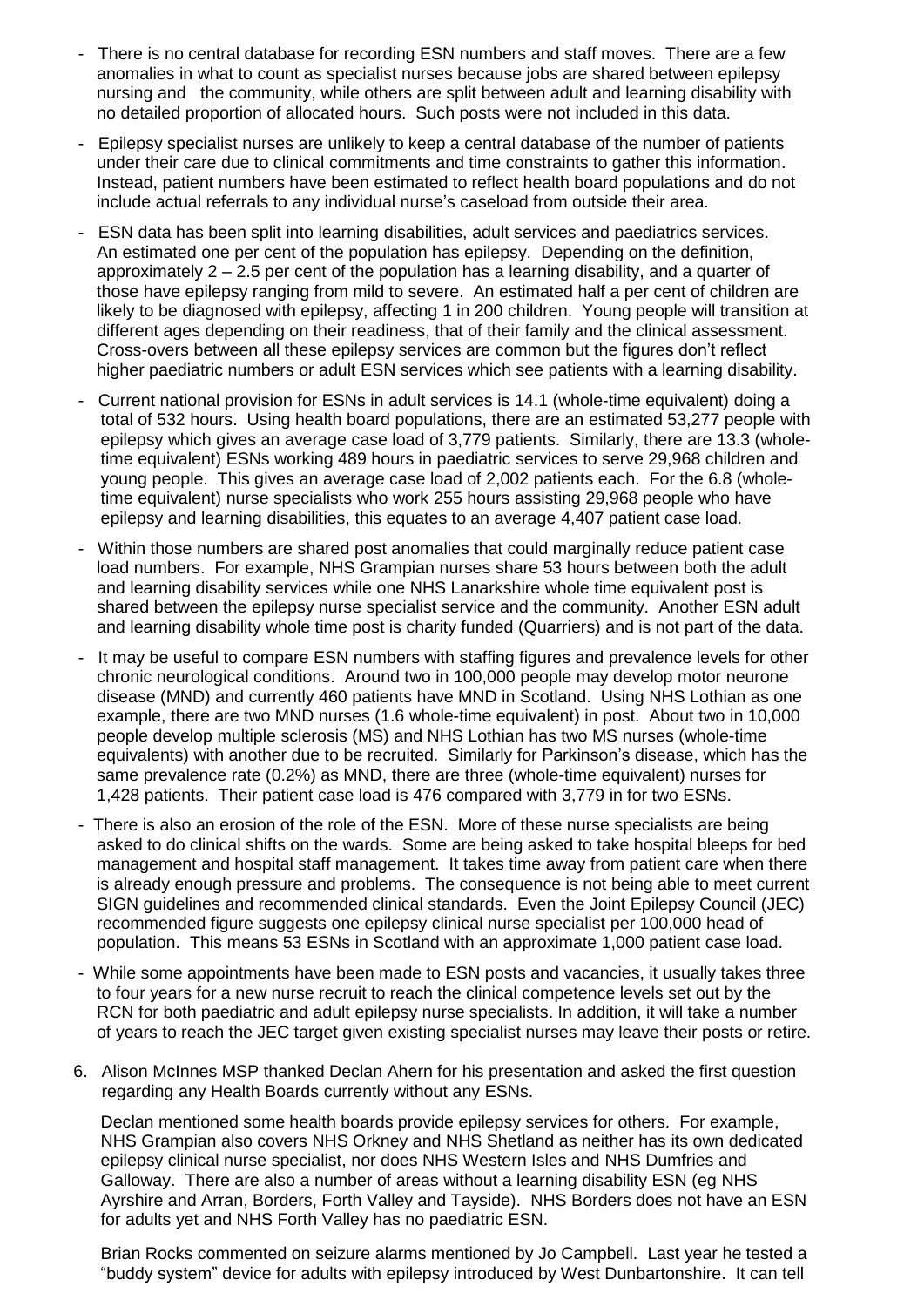- There is no central database for recording ESN numbers and staff moves. There are a few anomalies in what to count as specialist nurses because jobs are shared between epilepsy nursing and the community, while others are split between adult and learning disability with no detailed proportion of allocated hours. Such posts were not included in this data.
- Epilepsy specialist nurses are unlikely to keep a central database of the number of patients under their care due to clinical commitments and time constraints to gather this information. Instead, patient numbers have been estimated to reflect health board populations and do not include actual referrals to any individual nurse's caseload from outside their area.
- ESN data has been split into learning disabilities, adult services and paediatrics services. An estimated one per cent of the population has epilepsy. Depending on the definition, approximately 2 – 2.5 per cent of the population has a learning disability, and a quarter of those have epilepsy ranging from mild to severe. An estimated half a per cent of children are likely to be diagnosed with epilepsy, affecting 1 in 200 children. Young people will transition at different ages depending on their readiness, that of their family and the clinical assessment. Cross-overs between all these epilepsy services are common but the figures don't reflect higher paediatric numbers or adult ESN services which see patients with a learning disability.
- Current national provision for ESNs in adult services is 14.1 (whole-time equivalent) doing a total of 532 hours. Using health board populations, there are an estimated 53,277 people with epilepsy which gives an average case load of 3,779 patients. Similarly, there are 13.3 (wholetime equivalent) ESNs working 489 hours in paediatric services to serve 29,968 children and young people. This gives an average case load of 2,002 patients each. For the 6.8 (wholetime equivalent) nurse specialists who work 255 hours assisting 29,968 people who have epilepsy and learning disabilities, this equates to an average 4,407 patient case load.
- Within those numbers are shared post anomalies that could marginally reduce patient case load numbers. For example, NHS Grampian nurses share 53 hours between both the adult and learning disability services while one NHS Lanarkshire whole time equivalent post is shared between the epilepsy nurse specialist service and the community. Another ESN adult and learning disability whole time post is charity funded (Quarriers) and is not part of the data.
- It may be useful to compare ESN numbers with staffing figures and prevalence levels for other chronic neurological conditions. Around two in 100,000 people may develop motor neurone disease (MND) and currently 460 patients have MND in Scotland. Using NHS Lothian as one example, there are two MND nurses (1.6 whole-time equivalent) in post. About two in 10,000 people develop multiple sclerosis (MS) and NHS Lothian has two MS nurses (whole-time equivalents) with another due to be recruited. Similarly for Parkinson's disease, which has the same prevalence rate (0.2%) as MND, there are three (whole-time equivalent) nurses for 1,428 patients. Their patient case load is 476 compared with 3,779 in for two ESNs.
- There is also an erosion of the role of the ESN. More of these nurse specialists are being asked to do clinical shifts on the wards. Some are being asked to take hospital bleeps for bed management and hospital staff management. It takes time away from patient care when there is already enough pressure and problems. The consequence is not being able to meet current SIGN guidelines and recommended clinical standards. Even the Joint Epilepsy Council (JEC) recommended figure suggests one epilepsy clinical nurse specialist per 100,000 head of population. This means 53 ESNs in Scotland with an approximate 1,000 patient case load.
- While some appointments have been made to ESN posts and vacancies, it usually takes three to four years for a new nurse recruit to reach the clinical competence levels set out by the RCN for both paediatric and adult epilepsy nurse specialists. In addition, it will take a number of years to reach the JEC target given existing specialist nurses may leave their posts or retire.
- 6. Alison McInnes MSP thanked Declan Ahern for his presentation and asked the first question regarding any Health Boards currently without any ESNs.

Declan mentioned some health boards provide epilepsy services for others. For example, NHS Grampian also covers NHS Orkney and NHS Shetland as neither has its own dedicated epilepsy clinical nurse specialist, nor does NHS Western Isles and NHS Dumfries and Galloway. There are also a number of areas without a learning disability ESN (eg NHS Ayrshire and Arran, Borders, Forth Valley and Tayside). NHS Borders does not have an ESN for adults yet and NHS Forth Valley has no paediatric ESN.

Brian Rocks commented on seizure alarms mentioned by Jo Campbell. Last year he tested a "buddy system" device for adults with epilepsy introduced by West Dunbartonshire. It can tell